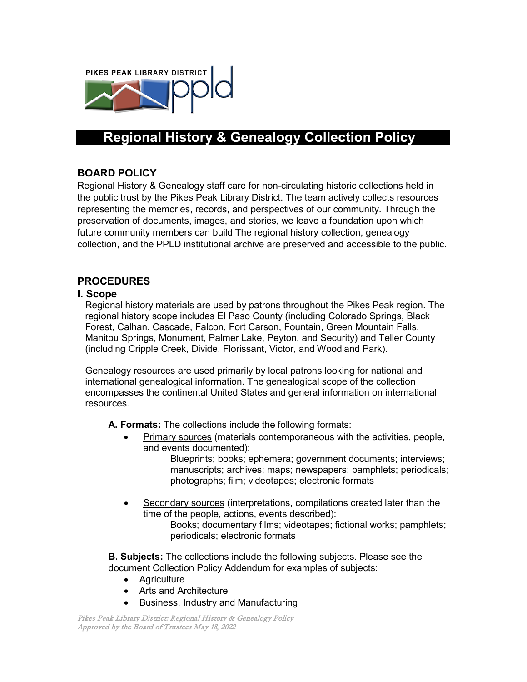

# **Regional History & Genealogy Collection Policy**

# **BOARD POLICY**

Regional History & Genealogy staff care for non-circulating historic collections held in the public trust by the Pikes Peak Library District. The team actively collects resources representing the memories, records, and perspectives of our community. Through the preservation of documents, images, and stories, we leave a foundation upon which future community members can build The regional history collection, genealogy collection, and the PPLD institutional archive are preserved and accessible to the public.

#### **PROCEDURES**

#### **I. Scope**

Regional history materials are used by patrons throughout the Pikes Peak region. The regional history scope includes El Paso County (including Colorado Springs, Black Forest, Calhan, Cascade, Falcon, Fort Carson, Fountain, Green Mountain Falls, Manitou Springs, Monument, Palmer Lake, Peyton, and Security) and Teller County (including Cripple Creek, Divide, Florissant, Victor, and Woodland Park).

Genealogy resources are used primarily by local patrons looking for national and international genealogical information. The genealogical scope of the collection encompasses the continental United States and general information on international resources.

**A. Formats:** The collections include the following formats:

• Primary sources (materials contemporaneous with the activities, people, and events documented):

Blueprints; books; ephemera; government documents; interviews; manuscripts; archives; maps; newspapers; pamphlets; periodicals; photographs; film; videotapes; electronic formats

• Secondary sources (interpretations, compilations created later than the time of the people, actions, events described): Books; documentary films; videotapes; fictional works; pamphlets;

periodicals; electronic formats

**B. Subjects:** The collections include the following subjects. Please see the document Collection Policy Addendum for examples of subjects:

- Agriculture
- Arts and Architecture
- Business, Industry and Manufacturing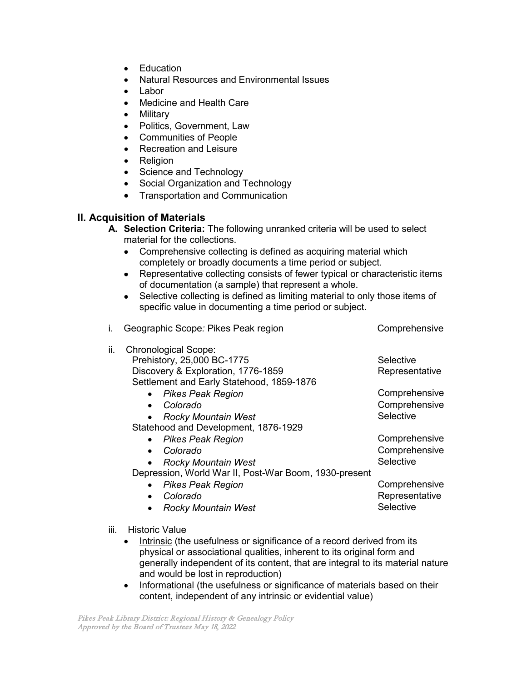- Education
- Natural Resources and Environmental Issues
- Labor
- Medicine and Health Care
- Military
- Politics, Government, Law
- Communities of People
- Recreation and Leisure<br>• Religion
- **Religion**
- Science and Technology
- Social Organization and Technology
- Transportation and Communication

#### **II. Acquisition of Materials**

- **A. Selection Criteria:** The following unranked criteria will be used to select material for the collections.
	- Comprehensive collecting is defined as acquiring material which completely or broadly documents a time period or subject.
	- Representative collecting consists of fewer typical or characteristic items of documentation (a sample) that represent a whole.
	- Selective collecting is defined as limiting material to only those items of specific value in documenting a time period or subject.

| i.  | Geographic Scope: Pikes Peak region                   | Comprehensive  |
|-----|-------------------------------------------------------|----------------|
| ii. | <b>Chronological Scope:</b>                           |                |
|     | Prehistory, 25,000 BC-1775                            | Selective      |
|     | Discovery & Exploration, 1776-1859                    | Representative |
|     | Settlement and Early Statehood, 1859-1876             |                |
|     | <b>Pikes Peak Region</b>                              | Comprehensive  |
|     | Colorado                                              | Comprehensive  |
|     | <b>Rocky Mountain West</b>                            | Selective      |
|     | Statehood and Development, 1876-1929                  |                |
|     | <b>Pikes Peak Region</b>                              | Comprehensive  |
|     | Colorado<br>$\bullet$                                 | Comprehensive  |
|     | <b>Rocky Mountain West</b>                            | Selective      |
|     | Depression, World War II, Post-War Boom, 1930-present |                |
|     | <b>Pikes Peak Region</b>                              | Comprehensive  |
|     | Colorado<br>$\bullet$                                 | Representative |
|     | <b>Rocky Mountain West</b>                            | Selective      |
|     |                                                       |                |

- iii. Historic Value
	- Intrinsic (the usefulness or significance of a record derived from its physical or associational qualities, inherent to its original form and generally independent of its content, that are integral to its material nature and would be lost in reproduction)
	- Informational (the usefulness or significance of materials based on their content, independent of any intrinsic or evidential value)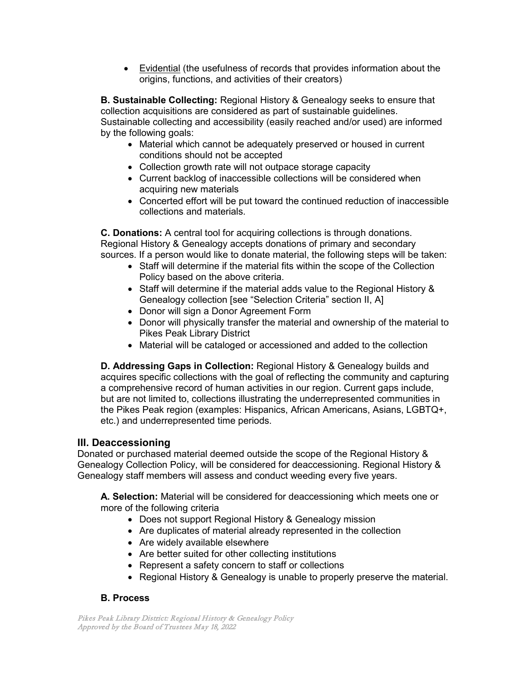• Evidential (the usefulness of records that provides information about the origins, functions, and activities of their creators)

**B. Sustainable Collecting:** Regional History & Genealogy seeks to ensure that collection acquisitions are considered as part of sustainable guidelines. Sustainable collecting and accessibility (easily reached and/or used) are informed by the following goals:

- Material which cannot be adequately preserved or housed in current conditions should not be accepted
- Collection growth rate will not outpace storage capacity
- Current backlog of inaccessible collections will be considered when acquiring new materials
- Concerted effort will be put toward the continued reduction of inaccessible collections and materials.

**C. Donations:** A central tool for acquiring collections is through donations. Regional History & Genealogy accepts donations of primary and secondary sources. If a person would like to donate material, the following steps will be taken:

- Staff will determine if the material fits within the scope of the Collection Policy based on the above criteria.
- Staff will determine if the material adds value to the Regional History & Genealogy collection [see "Selection Criteria" section II, A]
- Donor will sign a Donor Agreement Form
- Donor will physically transfer the material and ownership of the material to Pikes Peak Library District
- Material will be cataloged or accessioned and added to the collection

**D. Addressing Gaps in Collection:** Regional History & Genealogy builds and acquires specific collections with the goal of reflecting the community and capturing a comprehensive record of human activities in our region. Current gaps include, but are not limited to, collections illustrating the underrepresented communities in the Pikes Peak region (examples: Hispanics, African Americans, Asians, LGBTQ+, etc.) and underrepresented time periods.

# **III. Deaccessioning**

Donated or purchased material deemed outside the scope of the Regional History & Genealogy Collection Policy, will be considered for deaccessioning. Regional History & Genealogy staff members will assess and conduct weeding every five years.

**A. Selection:** Material will be considered for deaccessioning which meets one or more of the following criteria

- Does not support Regional History & Genealogy mission
- Are duplicates of material already represented in the collection
- Are widely available elsewhere
- Are better suited for other collecting institutions
- Represent a safety concern to staff or collections
- Regional History & Genealogy is unable to properly preserve the material.

# **B. Process**

Pikes Peak Library District: Regional History & Genealogy Policy Approved by the Board of Trustees May 18, 2022